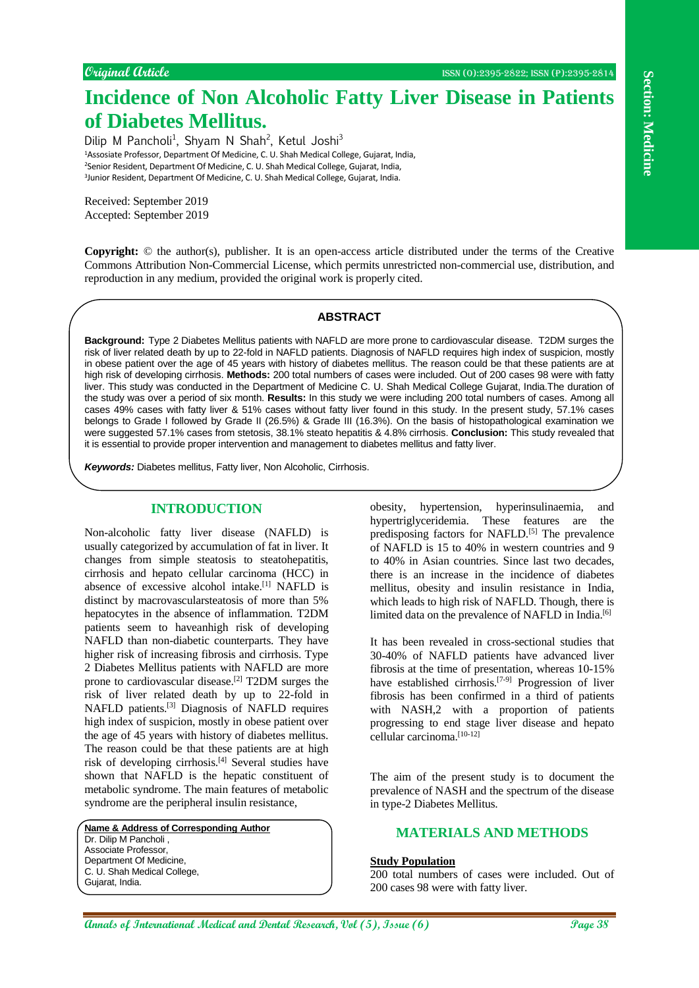# **Incidence of Non Alcoholic Fatty Liver Disease in Patients of Diabetes Mellitus.**

Dilip M Pancholi<sup>1</sup>, Shyam N Shah<sup>2</sup>, Ketul Joshi<sup>3</sup> Assosiate Professor, Department Of Medicine, C. U. Shah Medical College, Gujarat, India, Senior Resident, Department Of Medicine, C. U. Shah Medical College, Gujarat, India, Junior Resident, Department Of Medicine, C. U. Shah Medical College, Gujarat, India.

Received: September 2019 Accepted: September 2019

**Copyright:** © the author(s), publisher. It is an open-access article distributed under the terms of the Creative Commons Attribution Non-Commercial License, which permits unrestricted non-commercial use, distribution, and reproduction in any medium, provided the original work is properly cited.

## **ABSTRACT**

**Background:** Type 2 Diabetes Mellitus patients with NAFLD are more prone to cardiovascular disease. T2DM surges the risk of liver related death by up to 22-fold in NAFLD patients. Diagnosis of NAFLD requires high index of suspicion, mostly in obese patient over the age of 45 years with history of diabetes mellitus. The reason could be that these patients are at high risk of developing cirrhosis. **Methods:** 200 total numbers of cases were included. Out of 200 cases 98 were with fatty liver. This study was conducted in the Department of Medicine C. U. Shah Medical College Gujarat, India.The duration of the study was over a period of six month. **Results:** In this study we were including 200 total numbers of cases. Among all cases 49% cases with fatty liver & 51% cases without fatty liver found in this study. In the present study, 57.1% cases belongs to Grade I followed by Grade II (26.5%) & Grade III (16.3%). On the basis of histopathological examination we were suggested 57.1% cases from stetosis, 38.1% steato hepatitis & 4.8% cirrhosis. **Conclusion:** This study revealed that it is essential to provide proper intervention and management to diabetes mellitus and fatty liver.

*Keywords:* Diabetes mellitus, Fatty liver, Non Alcoholic, Cirrhosis.

# **INTRODUCTION**

**Annals of International Medical and Dental Research, Vol (5), Issue (6) Page 38 Section: Medicine** Non-alcoholic fatty liver disease (NAFLD) is usually categorized by accumulation of fat in liver. It changes from simple steatosis to steatohepatitis, cirrhosis and hepato cellular carcinoma (HCC) in absence of excessive alcohol intake.[1] NAFLD is distinct by macrovascularsteatosis of more than 5% hepatocytes in the absence of inflammation. T2DM patients seem to haveanhigh risk of developing NAFLD than non-diabetic counterparts. They have higher risk of increasing fibrosis and cirrhosis. Type 2 Diabetes Mellitus patients with NAFLD are more prone to cardiovascular disease.[2] T2DM surges the risk of liver related death by up to 22-fold in NAFLD patients.[3] Diagnosis of NAFLD requires high index of suspicion, mostly in obese patient over the age of 45 years with history of diabetes mellitus. The reason could be that these patients are at high risk of developing cirrhosis.[4] Several studies have shown that NAFLD is the hepatic constituent of metabolic syndrome. The main features of metabolic syndrome are the peripheral insulin resistance,

**Name & Address of Corresponding Author** Dr. Dilip M Pancholi, Associate Professor, Department Of Medicine C. U. Shah Medical College, Gujarat, India.

obesity, hypertension, hyperinsulinaemia, and hypertriglyceridemia. These features are the predisposing factors for NAFLD.<sup>[5]</sup> The prevalence of NAFLD is 15 to 40% in western countries and 9 to 40% in Asian countries. Since last two decades, there is an increase in the incidence of diabetes mellitus, obesity and insulin resistance in India, which leads to high risk of NAFLD. Though, there is limited data on the prevalence of NAFLD in India.<sup>[6]</sup>

It has been revealed in cross-sectional studies that 30-40% of NAFLD patients have advanced liver fibrosis at the time of presentation, whereas 10-15% have established cirrhosis.[7-9] Progression of liver fibrosis has been confirmed in a third of patients with NASH,2 with a proportion of patients progressing to end stage liver disease and hepato cellular carcinoma.<sup>[10-12]</sup>

The aim of the present study is to document the prevalence of NASH and the spectrum of the disease in type-2 Diabetes Mellitus.

# **MATERIALS AND METHODS**

## **Study Population**

200 total numbers of cases were included. Out of 200 cases 98 were with fatty liver.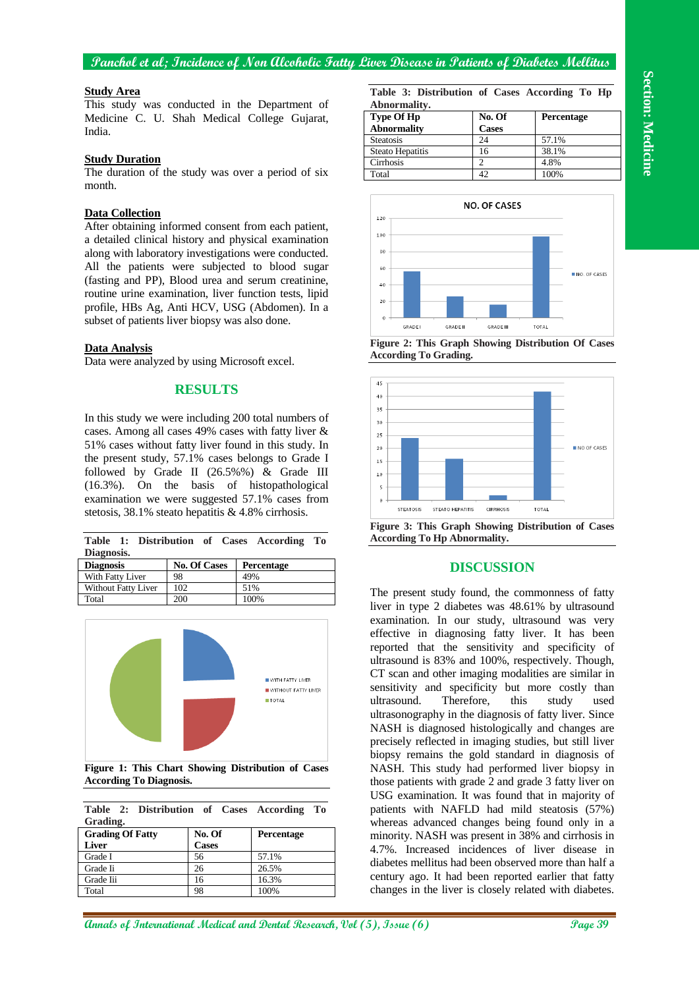#### **Study Area**

This study was conducted in the Department of Medicine C. U. Shah Medical College Gujarat, India.

#### **Study Duration**

The duration of the study was over a period of six month.

#### **Data Collection**

After obtaining informed consent from each patient, a detailed clinical history and physical examination along with laboratory investigations were conducted. All the patients were subjected to blood sugar (fasting and PP), Blood urea and serum creatinine, routine urine examination, liver function tests, lipid profile, HBs Ag, Anti HCV, USG (Abdomen). In a subset of patients liver biopsy was also done.

#### **Data Analysis**

Data were analyzed by using Microsoft excel.

### **RESULTS**

In this study we were including 200 total numbers of cases. Among all cases 49% cases with fatty liver & 51% cases without fatty liver found in this study. In the present study, 57.1% cases belongs to Grade I followed by Grade II (26.5%%) & Grade III (16.3%). On the basis of histopathological examination we were suggested 57.1% cases from stetosis, 38.1% steato hepatitis & 4.8% cirrhosis.

|                 |  |  |  | Table 1: Distribution of Cases According To |  |
|-----------------|--|--|--|---------------------------------------------|--|
| Diagnosis.      |  |  |  |                                             |  |
| <b>Diamosis</b> |  |  |  | $N_0$ Of $C_{0000}$ Dependence              |  |

| <b>Diagnosis</b>           | <b>No. Of Cases</b> | Percentage |
|----------------------------|---------------------|------------|
| With Fatty Liver           | 98                  | 49%        |
| <b>Without Fatty Liver</b> | 102                 | 51%        |
| Total                      | 200                 | 100%       |



**Figure 1: This Chart Showing Distribution of Cases According To Diagnosis.**

| Table 2: Distribution of Cases According |        |            | Tо |
|------------------------------------------|--------|------------|----|
| Grading.                                 |        |            |    |
| <b>Grading Of Fatty</b>                  | No. Of | Percentage |    |

 $\overline{1}$ 

| <b>Graung Of Patty</b> | 110. UI      | т сгениаче |
|------------------------|--------------|------------|
| <b>Liver</b>           | <b>Cases</b> |            |
| Grade I                | 56           | 57.1%      |
| Grade Ii               | 26           | 26.5%      |
| Grade Iii              | 16           | 16.3%      |
| Total                  | 98           | 100%       |

**Table 3: Distribution of Cases According To Hp Abnormality.**

| <b>Type Of Hp</b>  | No. Of       | <b>Percentage</b> |
|--------------------|--------------|-------------------|
| <b>Abnormality</b> | <b>Cases</b> |                   |
| <b>Steatosis</b>   | 24           | 57.1%             |
| Steato Hepatitis   | 16           | 38.1%             |
| Cirrhosis          |              | 4.8%              |
| Total              |              | 100%              |



**Figure 2: This Graph Showing Distribution Of Cases According To Grading.**



**Figure 3: This Graph Showing Distribution of Cases According To Hp Abnormality.**

## **DISCUSSION**

The present study found, the commonness of fatty liver in type 2 diabetes was 48.61% by ultrasound examination. In our study, ultrasound was very effective in diagnosing fatty liver. It has been reported that the sensitivity and specificity of ultrasound is 83% and 100%, respectively. Though, CT scan and other imaging modalities are similar in sensitivity and specificity but more costly than ultrasound. Therefore, this study used ultrasonography in the diagnosis of fatty liver. Since NASH is diagnosed histologically and changes are precisely reflected in imaging studies, but still liver biopsy remains the gold standard in diagnosis of NASH. This study had performed liver biopsy in those patients with grade 2 and grade 3 fatty liver on USG examination. It was found that in majority of patients with NAFLD had mild steatosis (57%) whereas advanced changes being found only in a minority. NASH was present in 38% and cirrhosis in 4.7%. Increased incidences of liver disease in diabetes mellitus had been observed more than half a century ago. It had been reported earlier that fatty changes in the liver is closely related with diabetes.